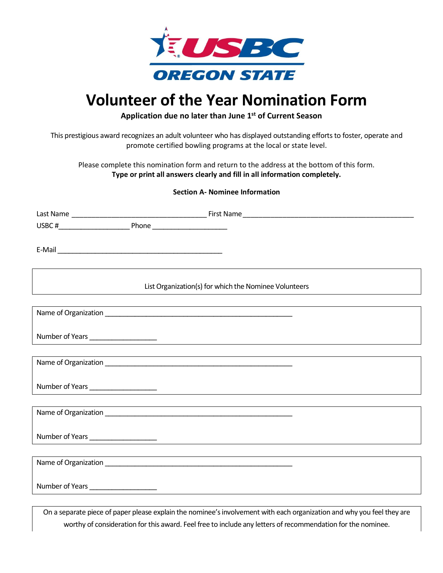

## **Volunteer of the Year Nomination Form**

**Application due no later than June 1 st of Current Season**

This prestigious award recognizes an adult volunteer who has displayed outstanding efforts to foster, operate and promote certified bowling programs at the local or state level.

Please complete this nomination form and return to the address at the bottom of this form. **Type or print all answers clearly and fill in all information completely.**

## **Section A- Nominee Information**

| List Organization(s) for which the Nominee Volunteers |
|-------------------------------------------------------|
|                                                       |
|                                                       |
|                                                       |
|                                                       |
|                                                       |
|                                                       |
|                                                       |
|                                                       |
|                                                       |
|                                                       |
|                                                       |
|                                                       |
|                                                       |
|                                                       |
|                                                       |

On a separate piece of paper please explain the nominee's involvement with each organization and why you feel they are worthy of consideration for this award. Feel free to include any letters of recommendation for the nominee.